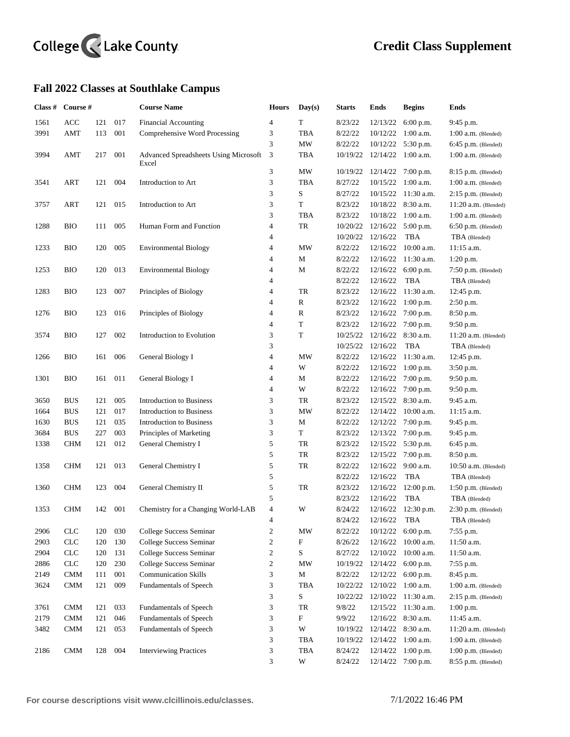## College <<<<<</>Lake County

## **Fall 2022 Classes at Southlake Campus**

| Class # | Course #   |     |     | <b>Course Name</b>                             | <b>Hours</b>            | Day(s)        | <b>Starts</b> | Ends              | <b>Begins</b>         | <b>Ends</b>            |
|---------|------------|-----|-----|------------------------------------------------|-------------------------|---------------|---------------|-------------------|-----------------------|------------------------|
| 1561    | <b>ACC</b> | 121 | 017 | <b>Financial Accounting</b>                    | 4                       | T             | 8/23/22       | 12/13/22          | 6:00 p.m.             | 9:45 p.m.              |
| 3991    | AMT        | 113 | 001 | Comprehensive Word Processing                  | 3                       | <b>TBA</b>    | 8/22/22       | 10/12/22          | $1:00$ a.m.           | $1:00$ a.m. (Blended)  |
|         |            |     |     |                                                | 3                       | MW            | 8/22/22       | 10/12/22          | 5:30 p.m.             | $6:45$ p.m. (Blended)  |
| 3994    | AMT        | 217 | 001 | Advanced Spreadsheets Using Microsoft<br>Excel | 3                       | TBA           |               | 10/19/22 12/14/22 | $1:00$ a.m.           | $1:00$ a.m. (Blended)  |
|         |            |     |     |                                                | 3                       | MW            | 10/19/22      | 12/14/22          | 7:00 p.m.             | $8:15$ p.m. (Blended)  |
| 3541    | <b>ART</b> | 121 | 004 | Introduction to Art                            | 3                       | <b>TBA</b>    | 8/27/22       | 10/15/22          | $1:00$ a.m.           | $1:00$ a.m. (Blended)  |
|         |            |     |     |                                                | 3                       | S             | 8/27/22       | 10/15/22          | 11:30 a.m.            | $2:15$ p.m. (Blended)  |
| 3757    | ART        | 121 | 015 | Introduction to Art                            | 3                       | T             | 8/23/22       | 10/18/22          | 8:30 a.m.             | $11:20$ a.m. (Blended) |
|         |            |     |     |                                                | 3                       | TBA           | 8/23/22       | 10/18/22          | $1:00$ a.m.           | $1:00$ a.m. (Blended)  |
| 1288    | <b>BIO</b> | 111 | 005 | Human Form and Function                        | 4                       | TR            | 10/20/22      | 12/16/22          | 5:00 p.m.             | $6:50$ p.m. (Blended)  |
|         |            |     |     |                                                | 4                       |               | 10/20/22      | 12/16/22          | <b>TBA</b>            | TBA (Blended)          |
| 1233    | <b>BIO</b> | 120 | 005 | <b>Environmental Biology</b>                   | 4                       | <b>MW</b>     | 8/22/22       | 12/16/22          | $10:00$ a.m.          | $11:15$ a.m.           |
|         |            |     |     |                                                | 4                       | М             | 8/22/22       | 12/16/22          | $11:30$ a.m.          | 1:20 p.m.              |
| 1253    | <b>BIO</b> | 120 | 013 | <b>Environmental Biology</b>                   | 4                       | $\mathbf M$   | 8/22/22       | 12/16/22          | 6:00 p.m.             | $7:50$ p.m. (Blended)  |
|         |            |     |     |                                                | 4                       |               | 8/22/22       | 12/16/22          | <b>TBA</b>            | TBA (Blended)          |
| 1283    | BЮ         | 123 | 007 | Principles of Biology                          | 4                       | TR            | 8/23/22       | 12/16/22          | 11:30 a.m.            | 12:45 p.m.             |
|         |            |     |     |                                                | 4                       | $\mathbb{R}$  | 8/23/22       | 12/16/22          | 1:00 p.m.             | 2:50 p.m.              |
| 1276    | <b>BIO</b> | 123 | 016 | Principles of Biology                          | 4                       | $\mathbb{R}$  | 8/23/22       | 12/16/22          | 7:00 p.m.             | 8:50 p.m.              |
|         |            |     |     |                                                | 4                       | T             | 8/23/22       | 12/16/22          | 7:00 p.m.             | 9:50 p.m.              |
| 3574    | <b>BIO</b> | 127 | 002 | Introduction to Evolution                      | 3                       | $\mathbf T$   | 10/25/22      | 12/16/22          | 8:30 a.m.             | $11:20$ a.m. (Blended) |
|         |            |     |     |                                                | 3                       |               | 10/25/22      | 12/16/22          | <b>TBA</b>            | TBA (Blended)          |
| 1266    | <b>BIO</b> | 161 | 006 | General Biology I                              | $\overline{\mathbf{4}}$ | <b>MW</b>     | 8/22/22       | 12/16/22          | 11:30 a.m.            | 12:45 p.m.             |
|         |            |     |     |                                                | 4                       | W             | 8/22/22       | 12/16/22          | $1:00$ p.m.           | 3:50 p.m.              |
| 1301    | <b>BIO</b> | 161 | 011 | General Biology I                              | 4                       | М             | 8/22/22       | 12/16/22          | $7:00$ p.m.           | 9:50 p.m.              |
|         |            |     |     |                                                | 4                       | W             | 8/22/22       | 12/16/22          | $7:00$ p.m.           | 9:50 p.m.              |
| 3650    | <b>BUS</b> | 121 | 005 | Introduction to Business                       | 3                       | TR            | 8/23/22       | 12/15/22          | $8:30$ a.m.           | 9:45 a.m.              |
| 1664    | <b>BUS</b> | 121 | 017 | Introduction to Business                       | 3                       | <b>MW</b>     | 8/22/22       | 12/14/22          | $10:00$ a.m.          | $11:15$ a.m.           |
| 1630    | <b>BUS</b> | 121 | 035 | Introduction to Business                       | 3                       | М             | 8/22/22       | 12/12/22          | $7:00$ p.m.           | 9:45 p.m.              |
| 3684    | <b>BUS</b> | 227 | 003 | Principles of Marketing                        | 3                       | $\mathbf T$   | 8/23/22       | 12/13/22          | $7:00$ p.m.           | 9:45 p.m.              |
| 1338    | <b>CHM</b> | 121 | 012 | General Chemistry I                            | 5                       | TR            | 8/23/22       | 12/15/22          | 5:30 p.m.             | 6:45 p.m.              |
|         |            |     |     |                                                | 5                       | TR            | 8/23/22       | 12/15/22          | 7:00 p.m.             | 8:50 p.m.              |
| 1358    | <b>CHM</b> | 121 | 013 | General Chemistry I                            | 5                       | TR            | 8/22/22       | 12/16/22          | $9:00$ a.m.           | $10:50$ a.m. (Blended) |
|         |            |     |     |                                                | 5                       |               | 8/22/22       | 12/16/22          | TBA                   | TBA (Blended)          |
| 1360    | <b>CHM</b> | 123 | 004 | General Chemistry II                           | 5                       | TR            | 8/23/22       | 12/16/22          | 12:00 p.m.            | $1:50$ p.m. (Blended)  |
|         |            |     |     |                                                | 5                       |               | 8/23/22       | 12/16/22          | <b>TBA</b>            | TBA (Blended)          |
| 1353    | <b>CHM</b> | 142 | 001 | Chemistry for a Changing World-LAB             | $\overline{4}$          | W             | 8/24/22       |                   | $12/16/22$ 12:30 p.m. | $2:30$ p.m. (Blended)  |
|         |            |     |     |                                                | 4                       |               | 8/24/22       | 12/16/22 TBA      |                       | TBA (Blended)          |
| 2906    | CLC        | 120 | 030 | College Success Seminar                        | $\overline{\mathbf{c}}$ | $\text{MW}{}$ | 8/22/22       | 10/12/22          | $6:00$ p.m.           | 7:55 p.m.              |
| 2903    | CLC        | 120 | 130 | College Success Seminar                        | $\boldsymbol{2}$        | ${\bf F}$     | 8/26/22       | 12/16/22          | 10:00 a.m.            | 11:50 a.m.             |
| 2904    | CLC        | 120 | 131 | College Success Seminar                        | $\boldsymbol{2}$        | $\mathbf S$   | 8/27/22       | 12/10/22          | 10:00 a.m.            | 11:50 a.m.             |
| 2886    | CLC        | 120 | 230 | College Success Seminar                        | $\overline{c}$          | <b>MW</b>     | 10/19/22      | 12/14/22          | 6:00 p.m.             | 7:55 p.m.              |
| 2149    | $\rm CMM$  | 111 | 001 | <b>Communication Skills</b>                    | 3                       | $\mathbf M$   | 8/22/22       | 12/12/22          | 6:00 p.m.             | 8:45 p.m.              |
| 3624    | $\rm CMM$  | 121 | 009 | Fundamentals of Speech                         | 3                       | TBA           | 10/22/22      | 12/10/22          | $1:00$ a.m.           | $1:00$ a.m. (Blended)  |
|         |            |     |     |                                                | 3                       | S             | 10/22/22      | 12/10/22          | 11:30 a.m.            | $2:15$ p.m. (Blended)  |
| 3761    | <b>CMM</b> | 121 | 033 | Fundamentals of Speech                         | 3                       | ${\rm TR}$    | 9/8/22        | 12/15/22          | 11:30 a.m.            | $1:00$ p.m.            |
| 2179    | $\rm CMM$  | 121 | 046 | Fundamentals of Speech                         | 3                       | ${\bf F}$     | 9/9/22        | 12/16/22          | 8:30 a.m.             | 11:45 a.m.             |
| 3482    | <b>CMM</b> | 121 | 053 | Fundamentals of Speech                         | 3                       | W             | 10/19/22      | 12/14/22          | 8:30 a.m.             | $11:20$ a.m. (Blended) |
|         |            |     |     |                                                | 3                       | TBA           | 10/19/22      | 12/14/22          | $1:00$ a.m.           | $1:00$ a.m. (Blended)  |
| 2186    | <b>CMM</b> | 128 | 004 | <b>Interviewing Practices</b>                  | 3                       | TBA           | 8/24/22       | 12/14/22          | 1:00 p.m.             | $1:00$ p.m. (Blended)  |
|         |            |     |     |                                                | 3                       | W             | 8/24/22       |                   | 12/14/22 7:00 p.m.    | $8:55$ p.m. (Blended)  |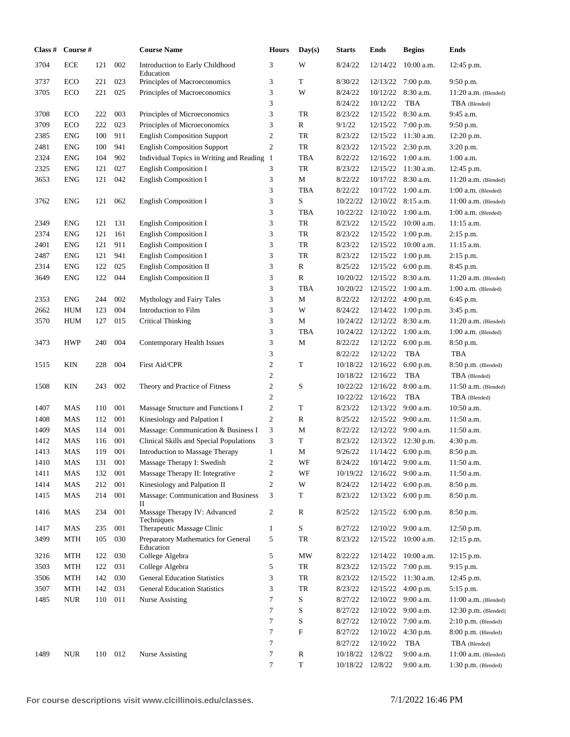| Class # | Course #   |         |                | <b>Course Name</b>                               | <b>Hours</b>        | Day(s)                    | <b>Starts</b> | <b>Ends</b> | <b>Begins</b>                       | Ends                    |
|---------|------------|---------|----------------|--------------------------------------------------|---------------------|---------------------------|---------------|-------------|-------------------------------------|-------------------------|
| 3704    | <b>ECE</b> | 121     | 002            | Introduction to Early Childhood<br>Education     | 3                   | W                         | 8/24/22       |             | $12/14/22$ 10:00 a.m.               | 12:45 p.m.              |
| 3737    | ECO        | 221     | 023            | Principles of Macroeconomics                     | 3                   | T                         | 8/30/22       |             | $12/13/22$ 7:00 p.m.                | 9:50 p.m.               |
| 3705    | ECO        | 221     | 025            | Principles of Macroeconomics                     | 3                   | W                         | 8/24/22       | 10/12/22    | 8:30 a.m.                           | $11:20$ a.m. (Blended)  |
|         |            |         |                |                                                  | 3                   |                           | 8/24/22       | 10/12/22    | <b>TBA</b>                          | TBA (Blended)           |
| 3708    | ECO        | 222     | 003            | Principles of Microeconomics                     | 3                   | TR                        | 8/23/22       | 12/15/22    | 8:30 a.m.                           | 9:45 a.m.               |
| 3709    | ECO        | 222     | 023            | Principles of Microeconomics                     | 3                   | $\mathbb{R}$              | 9/1/22        | 12/15/22    | 7:00 p.m.                           | 9:50 p.m.               |
| 2385    | <b>ENG</b> | 100     | 911            | <b>English Composition Support</b>               | $\mathbf{2}$        | TR                        | 8/23/22       | 12/15/22    | $11:30$ a.m.                        | 12:20 p.m.              |
| 2481    | <b>ENG</b> | 100     | 941            | <b>English Composition Support</b>               | $\overline{c}$      | TR                        | 8/23/22       | 12/15/22    | 2:30 p.m.                           | 3:20 p.m.               |
| 2324    | <b>ENG</b> | 104     | 902            | Individual Topics in Writing and Reading 1       |                     | <b>TBA</b>                | 8/22/22       |             | $12/16/22$ 1:00 a.m.                | $1:00$ a.m.             |
| 2325    | <b>ENG</b> | 121     | 027            | <b>English Composition I</b>                     | 3                   | TR                        | 8/23/22       | 12/15/22    | 11:30 a.m.                          | 12:45 p.m.              |
| 3653    | ENG        | 121     | 042            | <b>English Composition I</b>                     | 3                   | $\mathbf M$               | 8/22/22       |             | 10/17/22 8:30 a.m.                  | $11:20$ a.m. (Blended)  |
|         |            |         |                |                                                  | 3                   | <b>TBA</b>                | 8/22/22       |             | $10/17/22$ 1:00 a.m.                | $1:00$ a.m. (Blended)   |
| 3762    | <b>ENG</b> | 121     | 062            | <b>English Composition I</b>                     | 3                   | S                         | 10/22/22      |             | $12/10/22$ 8:15 a.m.                | $11:00$ a.m. (Blended)  |
|         |            |         |                |                                                  | 3                   | <b>TBA</b>                | 10/22/22      |             | $12/10/22$ 1:00 a.m.                | $1:00$ a.m. (Blended)   |
| 2349    | <b>ENG</b> | 121     | 131            | <b>English Composition I</b>                     | 3                   | TR                        | 8/23/22       |             | $12/15/22$ 10:00 a.m.               | $11:15$ a.m.            |
| 2374    | <b>ENG</b> | 121     | 161            | <b>English Composition I</b>                     | 3                   | TR                        | 8/23/22       |             | $12/15/22$ 1:00 p.m.                | $2:15$ p.m.             |
| 2401    | <b>ENG</b> | 121     | 911            | <b>English Composition I</b>                     | 3                   | TR                        | 8/23/22       | 12/15/22    | $10:00$ a.m.                        | $11:15$ a.m.            |
| 2487    | <b>ENG</b> | 121     | 941            | English Composition I                            | 3                   | TR                        | 8/23/22       | 12/15/22    | $1:00$ p.m.                         | 2:15 p.m.               |
| 2314    | <b>ENG</b> | 122     | 025            | English Composition II                           | 3                   | $\mathbb{R}$              | 8/25/22       | 12/15/22    | 6:00 p.m.                           | 8:45 p.m.               |
| 3649    | <b>ENG</b> | 122     | 044            | <b>English Composition II</b>                    | 3                   | $\mathbb{R}$              | 10/20/22      | 12/15/22    | 8:30 a.m.                           | $11:20$ a.m. (Blended)  |
|         |            |         |                |                                                  | 3                   | <b>TBA</b>                | 10/20/22      | 12/15/22    | $1:00$ a.m.                         | $1:00$ a.m. (Blended)   |
| 2353    | <b>ENG</b> | 244     | 002            | Mythology and Fairy Tales                        | 3                   | М                         | 8/22/22       | 12/12/22    | 4:00 p.m.                           | 6:45 p.m.               |
| 2662    | <b>HUM</b> | 123     | 004            | Introduction to Film                             | 3                   | W                         | 8/24/22       | 12/14/22    | $1:00$ p.m.                         | 3:45 p.m.               |
| 3570    | HUM        | 127     | 015            | <b>Critical Thinking</b>                         | 3                   | M                         | 10/24/22      | 12/12/22    | 8:30 a.m.                           | $11:20$ a.m. (Blended)  |
|         |            |         |                |                                                  | 3                   | <b>TBA</b>                | 10/24/22      | 12/12/22    | $1:00$ a.m.                         | $1:00$ a.m. (Blended)   |
| 3473    | <b>HWP</b> | 240     | 004            | Contemporary Health Issues                       | 3                   | M                         | 8/22/22       | 12/12/22    | 6:00 p.m.                           | 8:50 p.m.               |
|         |            |         |                |                                                  | 3                   |                           | 8/22/22       | 12/12/22    | <b>TBA</b>                          | <b>TBA</b>              |
| 1515    | KIN        | 228     | 004            | <b>First Aid/CPR</b>                             | $\mathfrak{2}$      | T                         | 10/18/22      | 12/16/22    | 6:00 p.m.                           | 8:50 p.m. (Blended)     |
|         |            |         |                |                                                  | $\overline{2}$      |                           | 10/18/22      | 12/16/22    | <b>TBA</b>                          | TBA (Blended)           |
| 1508    | KIN        | 243     | 002            | Theory and Practice of Fitness                   | $\sqrt{2}$          | S                         | 10/22/22      | 12/16/22    | $8:00$ a.m.                         | $11:50$ a.m. (Blended)  |
|         |            |         |                |                                                  | $\overline{2}$      |                           | 10/22/22      | 12/16/22    | <b>TBA</b>                          | TBA (Blended)           |
| 1407    | MAS        | 110     | 001            | Massage Structure and Functions I                | $\mathbf{2}$        | T                         | 8/23/22       | 12/13/22    | $9:00$ a.m.                         | $10:50$ a.m.            |
| 1408    | MAS        | 112     | 001            | Kinesiology and Palpation I                      | $\mathfrak{2}$      | R                         | 8/25/22       | 12/15/22    | $9:00$ a.m.                         | 11:50 a.m.              |
| 1409    | MAS        | 114     | 001            | Massage: Communication & Business I              | $\mathfrak{Z}$      | M                         | 8/22/22       |             | $12/12/22$ 9:00 a.m.                | 11:50 a.m.              |
| 1412    | MAS        | 116     | 001            | Clinical Skills and Special Populations          | 3                   | T                         | 8/23/22       | 12/13/22    | $12:30$ p.m.                        | 4:30 p.m.               |
| 1413    | MAS        | 119     | 001            | Introduction to Massage Therapy                  | $\mathbf{1}$        | М                         | 9/26/22       |             | $11/14/22$ 6:00 p.m.                | 8:50 p.m.<br>11:50 a.m. |
| 1410    | MAS        | 131     | 001            | Massage Therapy I: Swedish                       | 2                   | WF                        | 8/24/22       |             | $10/14/22$ 9:00 a.m.                |                         |
| 1411    | MAS        | 132     | 001            | Massage Therapy II: Integrative                  | $\mathfrak{2}$      | WF                        | 10/19/22      | 12/16/22    | $9:00$ a.m.                         | 11:50 a.m.              |
| 1414    | MAS        | 212     | $001\,$<br>001 | Kinesiology and Palpation II                     | $\mathfrak{2}$<br>3 | W<br>T                    | 8/24/22       | 12/14/22    | $6:00$ p.m.<br>$12/13/22$ 6:00 p.m. | 8:50 p.m.<br>8:50 p.m.  |
| 1415    | MAS        | 214     |                | Massage: Communication and Business<br>П         |                     |                           | 8/23/22       |             |                                     |                         |
| 1416    | MAS        | 234     | 001            | Massage Therapy IV: Advanced<br>Techniques       | 2                   | $\mathbb{R}$              | 8/25/22       |             | $12/15/22$ 6:00 p.m.                | $8:50$ p.m.             |
| 1417    | MAS        | 235     | 001            | Therapeutic Massage Clinic                       | $\mathbf{1}$        | S                         | 8/27/22       |             | $12/10/22$ 9:00 a.m.                | $12:50$ p.m.            |
| 3499    | MTH        | 105     | 030            | Preparatory Mathematics for General<br>Education | 5                   | TR                        | 8/23/22       |             | $12/15/22$ 10:00 a.m.               | $12:15$ p.m.            |
| 3216    | MTH        | 122     | 030            | College Algebra                                  | 5                   | MW                        | 8/22/22       | 12/14/22    | $10:00$ a.m.                        | $12:15$ p.m.            |
| 3503    | MTH        | 122     | 031            | College Algebra                                  | 5                   | TR                        | 8/23/22       | 12/15/22    | $7:00$ p.m.                         | 9:15 p.m.               |
| 3506    | MTH        | 142     | 030            | <b>General Education Statistics</b>              | 3                   | TR                        | 8/23/22       | 12/15/22    | $11:30$ a.m.                        | 12:45 p.m.              |
| 3507    | MTH        | 142     | 031            | <b>General Education Statistics</b>              | 3                   | TR                        | 8/23/22       | 12/15/22    | $4:00$ p.m.                         | 5:15 p.m.               |
| 1485    | <b>NUR</b> | 110     | 011            | <b>Nurse Assisting</b>                           | 7                   | S                         | 8/27/22       | 12/10/22    | $9:00$ a.m.                         | $11:00$ a.m. (Blended)  |
|         |            |         |                |                                                  | 7                   | S                         | 8/27/22       | 12/10/22    | 9:00 a.m.                           | $12:30$ p.m. (Blended)  |
|         |            |         |                |                                                  | $\overline{7}$      | S                         | 8/27/22       | 12/10/22    | 7:00 a.m.                           | $2:10$ p.m. (Blended)   |
|         |            |         |                |                                                  | $\overline{7}$      | $\boldsymbol{\mathrm{F}}$ | 8/27/22       | 12/10/22    | 4:30 p.m.                           | $8:00$ p.m. (Blended)   |
|         |            |         |                |                                                  | $\boldsymbol{7}$    |                           | 8/27/22       | 12/10/22    | <b>TBA</b>                          | TBA (Blended)           |
| 1489    | <b>NUR</b> | 110 012 |                | <b>Nurse Assisting</b>                           | 7                   | ${\bf R}$<br>$\mathbf T$  | 10/18/22      | 12/8/22     | 9:00 a.m.                           | $11:00$ a.m. (Blended)  |
|         |            |         |                |                                                  | 7                   |                           | 10/18/22      | 12/8/22     | 9:00 a.m.                           | $1:30$ p.m. (Blended)   |